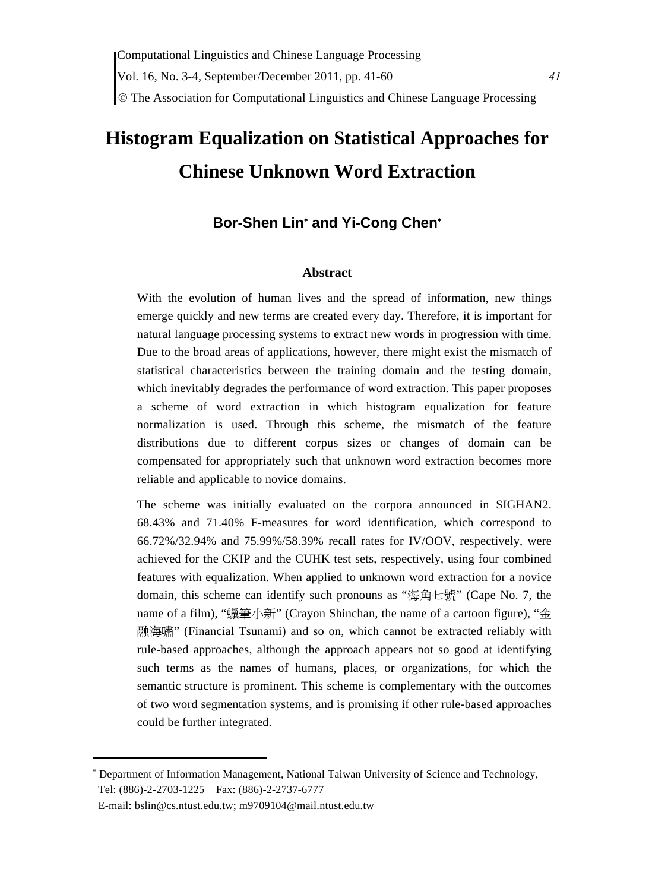# **Histogram Equalization on Statistical Approaches for Chinese Unknown Word Extraction**

## **Bor-Shen Lin**<sup>∗</sup>  **and Yi-Cong Chen**<sup>∗</sup>

#### **Abstract**

With the evolution of human lives and the spread of information, new things emerge quickly and new terms are created every day. Therefore, it is important for natural language processing systems to extract new words in progression with time. Due to the broad areas of applications, however, there might exist the mismatch of statistical characteristics between the training domain and the testing domain, which inevitably degrades the performance of word extraction. This paper proposes a scheme of word extraction in which histogram equalization for feature normalization is used. Through this scheme, the mismatch of the feature distributions due to different corpus sizes or changes of domain can be compensated for appropriately such that unknown word extraction becomes more reliable and applicable to novice domains.

The scheme was initially evaluated on the corpora announced in SIGHAN2. 68.43% and 71.40% F-measures for word identification, which correspond to 66.72%/32.94% and 75.99%/58.39% recall rates for IV/OOV, respectively, were achieved for the CKIP and the CUHK test sets, respectively, using four combined features with equalization. When applied to unknown word extraction for a novice domain, this scheme can identify such pronouns as "海角七號" (Cape No. 7, the name of a film), "蠟筆小新" (Crayon Shinchan, the name of a cartoon figure), "金 融海嘯" (Financial Tsunami) and so on, which cannot be extracted reliably with rule-based approaches, although the approach appears not so good at identifying such terms as the names of humans, places, or organizations, for which the semantic structure is prominent. This scheme is complementary with the outcomes of two word segmentation systems, and is promising if other rule-based approaches could be further integrated.

<sup>∗</sup> Department of Information Management, National Taiwan University of Science and Technology, Tel: (886)-2-2703-1225 Fax: (886)-2-2737-6777

E-mail: bslin@cs.ntust.edu.tw; m9709104@mail.ntust.edu.tw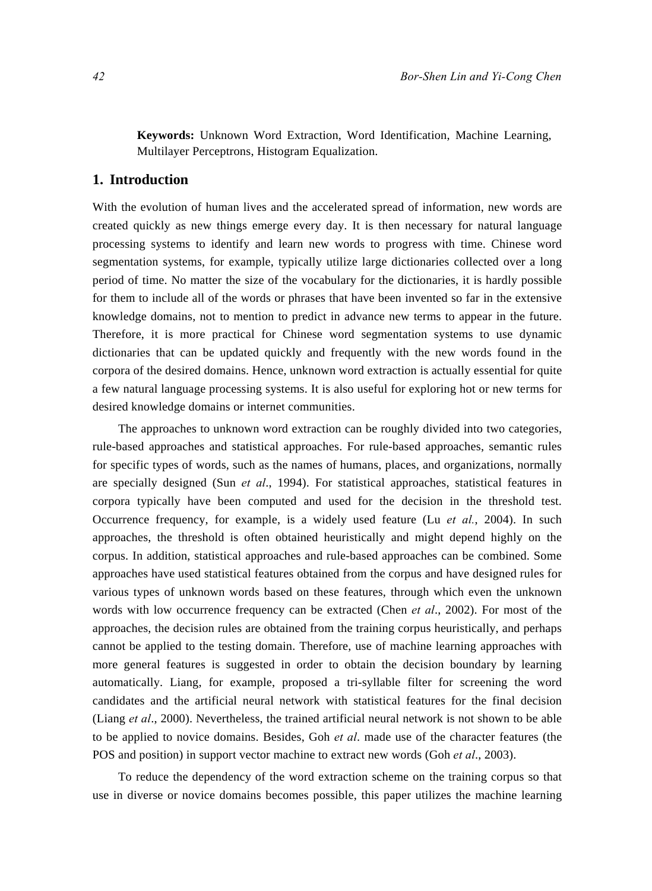**Keywords:** Unknown Word Extraction, Word Identification, Machine Learning, Multilayer Perceptrons, Histogram Equalization.

### **1. Introduction**

With the evolution of human lives and the accelerated spread of information, new words are created quickly as new things emerge every day. It is then necessary for natural language processing systems to identify and learn new words to progress with time. Chinese word segmentation systems, for example, typically utilize large dictionaries collected over a long period of time. No matter the size of the vocabulary for the dictionaries, it is hardly possible for them to include all of the words or phrases that have been invented so far in the extensive knowledge domains, not to mention to predict in advance new terms to appear in the future. Therefore, it is more practical for Chinese word segmentation systems to use dynamic dictionaries that can be updated quickly and frequently with the new words found in the corpora of the desired domains. Hence, unknown word extraction is actually essential for quite a few natural language processing systems. It is also useful for exploring hot or new terms for desired knowledge domains or internet communities.

The approaches to unknown word extraction can be roughly divided into two categories, rule-based approaches and statistical approaches. For rule-based approaches, semantic rules for specific types of words, such as the names of humans, places, and organizations, normally are specially designed (Sun *et al*., 1994). For statistical approaches, statistical features in corpora typically have been computed and used for the decision in the threshold test. Occurrence frequency, for example, is a widely used feature (Lu *et al.*, 2004). In such approaches, the threshold is often obtained heuristically and might depend highly on the corpus. In addition, statistical approaches and rule-based approaches can be combined. Some approaches have used statistical features obtained from the corpus and have designed rules for various types of unknown words based on these features, through which even the unknown words with low occurrence frequency can be extracted (Chen *et al*., 2002). For most of the approaches, the decision rules are obtained from the training corpus heuristically, and perhaps cannot be applied to the testing domain. Therefore, use of machine learning approaches with more general features is suggested in order to obtain the decision boundary by learning automatically. Liang, for example, proposed a tri-syllable filter for screening the word candidates and the artificial neural network with statistical features for the final decision (Liang *et al*., 2000). Nevertheless, the trained artificial neural network is not shown to be able to be applied to novice domains. Besides, Goh *et al*. made use of the character features (the POS and position) in support vector machine to extract new words (Goh *et al*., 2003).

To reduce the dependency of the word extraction scheme on the training corpus so that use in diverse or novice domains becomes possible, this paper utilizes the machine learning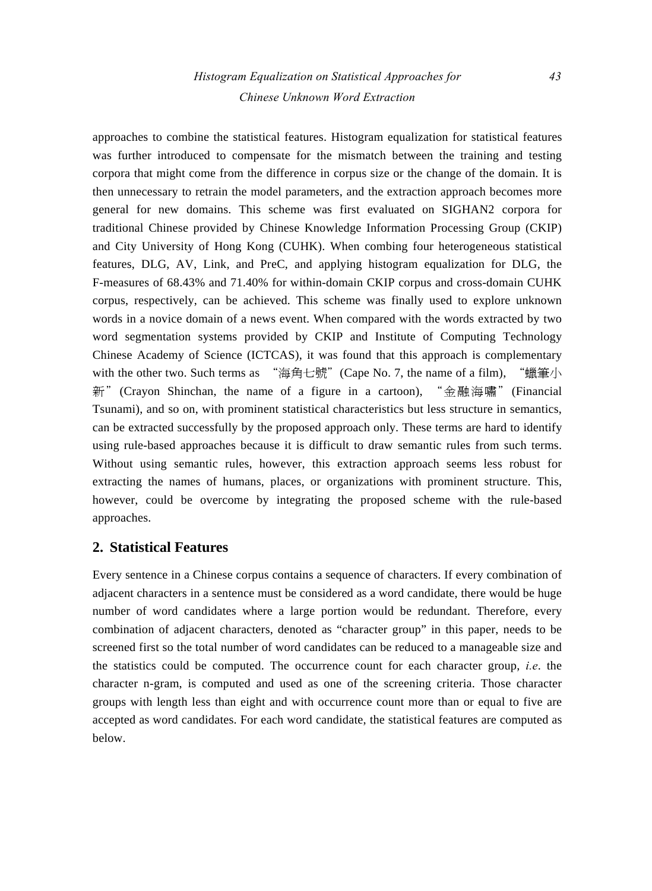# *Histogram Equalization on Statistical Approaches for 43 Chinese Unknown Word Extraction*

approaches to combine the statistical features. Histogram equalization for statistical features was further introduced to compensate for the mismatch between the training and testing corpora that might come from the difference in corpus size or the change of the domain. It is then unnecessary to retrain the model parameters, and the extraction approach becomes more general for new domains. This scheme was first evaluated on SIGHAN2 corpora for traditional Chinese provided by Chinese Knowledge Information Processing Group (CKIP) and City University of Hong Kong (CUHK). When combing four heterogeneous statistical features, DLG, AV, Link, and PreC, and applying histogram equalization for DLG, the F-measures of 68.43% and 71.40% for within-domain CKIP corpus and cross-domain CUHK corpus, respectively, can be achieved. This scheme was finally used to explore unknown words in a novice domain of a news event. When compared with the words extracted by two word segmentation systems provided by CKIP and Institute of Computing Technology Chinese Academy of Science (ICTCAS), it was found that this approach is complementary with the other two. Such terms as "海角七號"(Cape No. 7, the name of a film), "蠟筆小 新"(Crayon Shinchan, the name of a figure in a cartoon), "金融海嘯"(Financial Tsunami), and so on, with prominent statistical characteristics but less structure in semantics, can be extracted successfully by the proposed approach only. These terms are hard to identify using rule-based approaches because it is difficult to draw semantic rules from such terms. Without using semantic rules, however, this extraction approach seems less robust for extracting the names of humans, places, or organizations with prominent structure. This, however, could be overcome by integrating the proposed scheme with the rule-based approaches.

## **2. Statistical Features**

Every sentence in a Chinese corpus contains a sequence of characters. If every combination of adjacent characters in a sentence must be considered as a word candidate, there would be huge number of word candidates where a large portion would be redundant. Therefore, every combination of adjacent characters, denoted as "character group" in this paper, needs to be screened first so the total number of word candidates can be reduced to a manageable size and the statistics could be computed. The occurrence count for each character group, *i.e*. the character n-gram, is computed and used as one of the screening criteria. Those character groups with length less than eight and with occurrence count more than or equal to five are accepted as word candidates. For each word candidate, the statistical features are computed as below.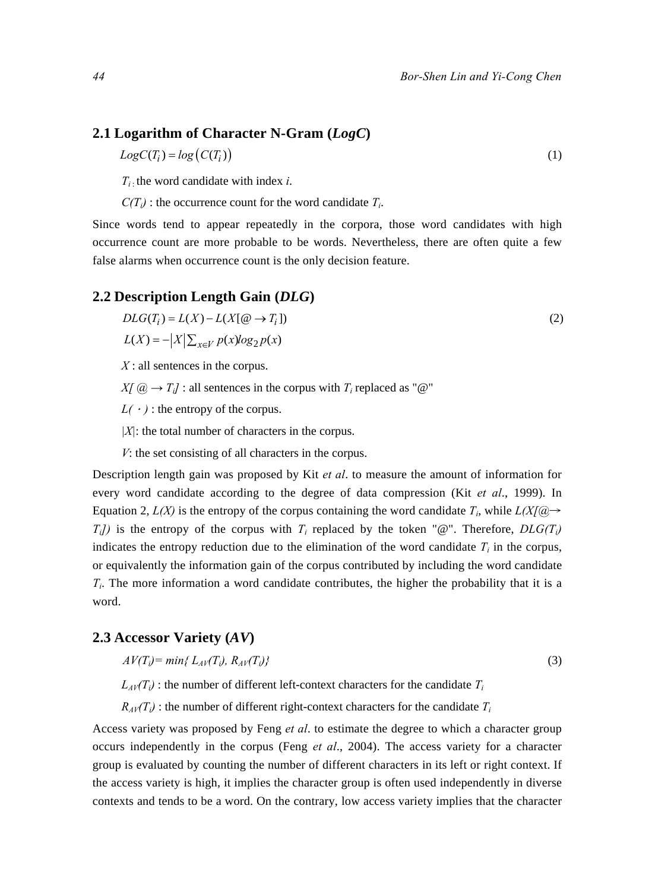## **2.1 Logarithm of Character N-Gram (***LogC***)**

 $Log C(T_i) = log ( C(T_i))$  (1)

*Ti* : the word candidate with index *i*.

 $C(T_i)$ : the occurrence count for the word candidate  $T_i$ .

Since words tend to appear repeatedly in the corpora, those word candidates with high occurrence count are more probable to be words. Nevertheless, there are often quite a few false alarms when occurrence count is the only decision feature.

## **2.2 Description Length Gain (***DLG***)**

$$
DLG(Ti) = L(X) - L(X[\mathcal{Q} \to Ti])
$$
  
\n
$$
L(X) = -|X|\sum_{x \in V} p(x)log_2 p(x)
$$
\n(2)

*X* : all sentences in the corpus.

 $X/[a] \rightarrow T_{il}$ : all sentences in the corpus with  $T_i$  replaced as " $\omega$ "

 $L(\cdot)$ : the entropy of the corpus.

*|X|*: the total number of characters in the corpus.

*V*: the set consisting of all characters in the corpus.

Description length gain was proposed by Kit *et al*. to measure the amount of information for every word candidate according to the degree of data compression (Kit *et al*., 1999). In Equation 2,  $L(X)$  is the entropy of the corpus containing the word candidate  $T_i$ , while  $L(X|Q) \rightarrow$  $T_i$ ) is the entropy of the corpus with  $T_i$  replaced by the token "@". Therefore,  $DLG(T_i)$ indicates the entropy reduction due to the elimination of the word candidate  $T_i$  in the corpus, or equivalently the information gain of the corpus contributed by including the word candidate *Ti*. The more information a word candidate contributes, the higher the probability that it is a word.

## **2.3 Accessor Variety (***AV***)**

$$
AV(T_i) = min\{L_{AV}(T_i), R_{AV}(T_i)\}\tag{3}
$$

 $L_{AV}(T_i)$ : the number of different left-context characters for the candidate  $T_i$ 

 $R_{AV}(T_i)$ : the number of different right-context characters for the candidate  $T_i$ 

Access variety was proposed by Feng *et al*. to estimate the degree to which a character group occurs independently in the corpus (Feng *et al*., 2004). The access variety for a character group is evaluated by counting the number of different characters in its left or right context. If the access variety is high, it implies the character group is often used independently in diverse contexts and tends to be a word. On the contrary, low access variety implies that the character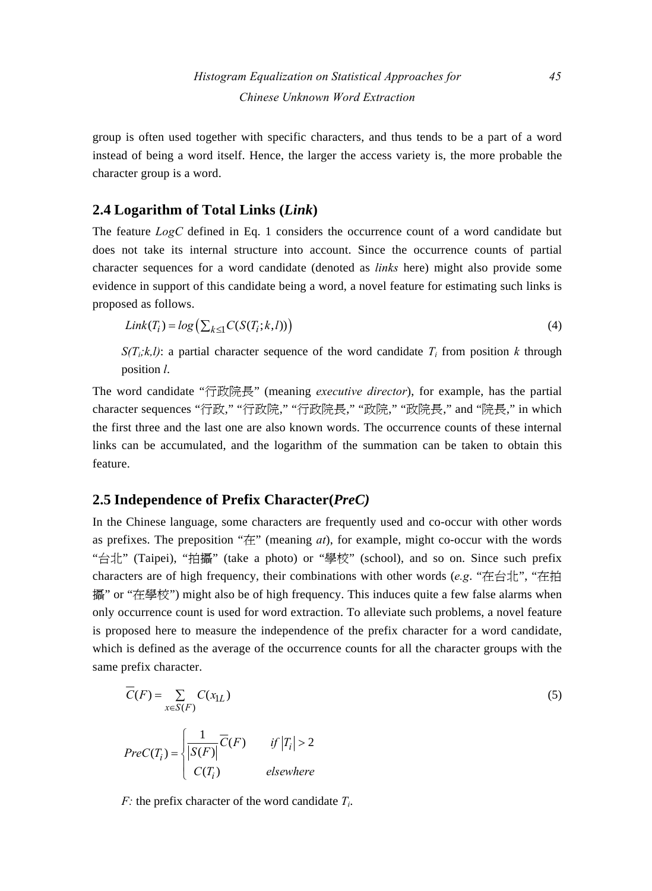group is often used together with specific characters, and thus tends to be a part of a word instead of being a word itself. Hence, the larger the access variety is, the more probable the character group is a word.

## **2.4 Logarithm of Total Links (***Link***)**

The feature *LogC* defined in Eq. 1 considers the occurrence count of a word candidate but does not take its internal structure into account. Since the occurrence counts of partial character sequences for a word candidate (denoted as *links* here) might also provide some evidence in support of this candidate being a word, a novel feature for estimating such links is proposed as follows.

$$
Link(T_i) = log(\sum_{k \leq 1} C(S(T_i; k, l)))
$$
\n(4)

 $S(T_i, k, l)$ : a partial character sequence of the word candidate  $T_i$  from position k through position *l*.

The word candidate "行政院長" (meaning *executive director*), for example, has the partial character sequences "行政," "行政院," "行政院長," "政院," "政院長," and "院長," in which the first three and the last one are also known words. The occurrence counts of these internal links can be accumulated, and the logarithm of the summation can be taken to obtain this feature.

## **2.5 Independence of Prefix Character(***PreC)*

In the Chinese language, some characters are frequently used and co-occur with other words as prefixes. The preposition "在" (meaning *at*), for example, might co-occur with the words "台北" (Taipei), "拍攝" (take a photo) or "學校" (school), and so on. Since such prefix characters are of high frequency, their combinations with other words (*e.g*. "在台北", "在拍 攝" or "在學校") might also be of high frequency. This induces quite a few false alarms when only occurrence count is used for word extraction. To alleviate such problems, a novel feature is proposed here to measure the independence of the prefix character for a word candidate, which is defined as the average of the occurrence counts for all the character groups with the same prefix character.

$$
\overline{C}(F) = \sum_{x \in S(F)} C(x_{1L})
$$
\n
$$
Prec(T_i) = \begin{cases}\n\frac{1}{|S(F)|} \overline{C}(F) & \text{if } |T_i| > 2 \\
\overline{C(T_i)} & \text{elsewhere}\n\end{cases}
$$
\n(5)

*F*: the prefix character of the word candidate  $T_i$ .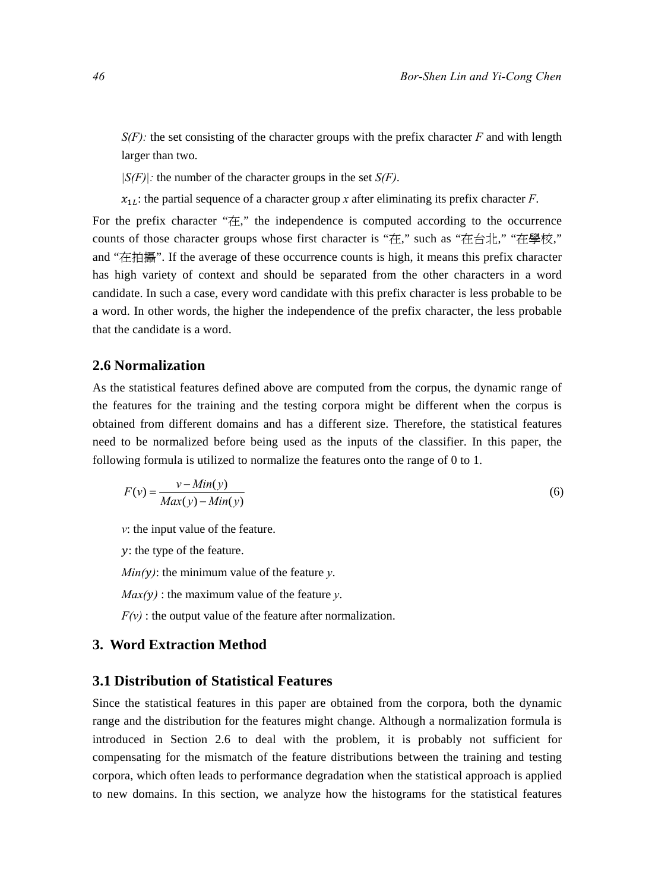$S(F)$ : the set consisting of the character groups with the prefix character *F* and with length larger than two.

*|S(F)|:* the number of the character groups in the set *S(F)*.

 $x_{1L}$ : the partial sequence of a character group *x* after eliminating its prefix character *F*.

For the prefix character "在," the independence is computed according to the occurrence counts of those character groups whose first character is "在," such as "在台北," "在學校," and "在拍攝". If the average of these occurrence counts is high, it means this prefix character has high variety of context and should be separated from the other characters in a word candidate. In such a case, every word candidate with this prefix character is less probable to be a word. In other words, the higher the independence of the prefix character, the less probable that the candidate is a word.

#### **2.6 Normalization**

As the statistical features defined above are computed from the corpus, the dynamic range of the features for the training and the testing corpora might be different when the corpus is obtained from different domains and has a different size. Therefore, the statistical features need to be normalized before being used as the inputs of the classifier. In this paper, the following formula is utilized to normalize the features onto the range of 0 to 1.

$$
F(v) = \frac{v - Min(y)}{Max(y) - Min(y)}
$$
(6)

*v*: the input value of the feature.

 $y$ : the type of the feature.

 $Min(y)$ : the minimum value of the feature *y*.

 $Max(y)$ : the maximum value of the feature *y*.

 $F(v)$ : the output value of the feature after normalization.

#### **3. Word Extraction Method**

#### **3.1 Distribution of Statistical Features**

Since the statistical features in this paper are obtained from the corpora, both the dynamic range and the distribution for the features might change. Although a normalization formula is introduced in Section 2.6 to deal with the problem, it is probably not sufficient for compensating for the mismatch of the feature distributions between the training and testing corpora, which often leads to performance degradation when the statistical approach is applied to new domains. In this section, we analyze how the histograms for the statistical features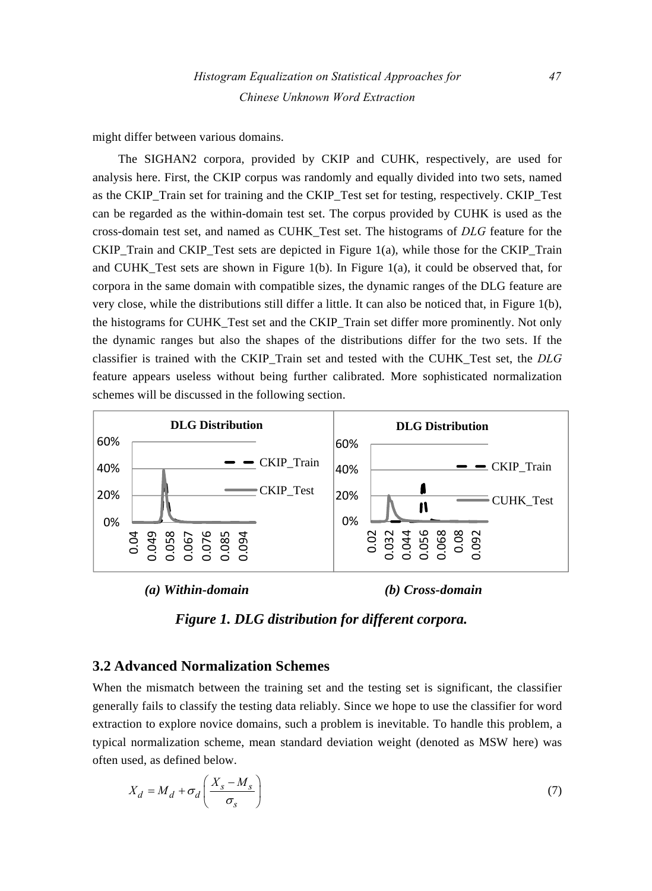might differ between various domains.

The SIGHAN2 corpora, provided by CKIP and CUHK, respectively, are used for analysis here. First, the CKIP corpus was randomly and equally divided into two sets, named as the CKIP\_Train set for training and the CKIP\_Test set for testing, respectively. CKIP\_Test can be regarded as the within-domain test set. The corpus provided by CUHK is used as the cross-domain test set, and named as CUHK\_Test set. The histograms of *DLG* feature for the CKIP Train and CKIP Test sets are depicted in Figure 1(a), while those for the CKIP Train and CUHK Test sets are shown in Figure 1(b). In Figure 1(a), it could be observed that, for corpora in the same domain with compatible sizes, the dynamic ranges of the DLG feature are very close, while the distributions still differ a little. It can also be noticed that, in Figure 1(b), the histograms for CUHK\_Test set and the CKIP\_Train set differ more prominently. Not only the dynamic ranges but also the shapes of the distributions differ for the two sets. If the classifier is trained with the CKIP\_Train set and tested with the CUHK\_Test set, the *DLG* feature appears useless without being further calibrated. More sophisticated normalization schemes will be discussed in the following section.



 *(a) Within-domain (b) Cross-domain* 



#### **3.2 Advanced Normalization Schemes**

When the mismatch between the training set and the testing set is significant, the classifier generally fails to classify the testing data reliably. Since we hope to use the classifier for word extraction to explore novice domains, such a problem is inevitable. To handle this problem, a typical normalization scheme, mean standard deviation weight (denoted as MSW here) was often used, as defined below.

$$
X_d = M_d + \sigma_d \left(\frac{X_s - M_s}{\sigma_s}\right) \tag{7}
$$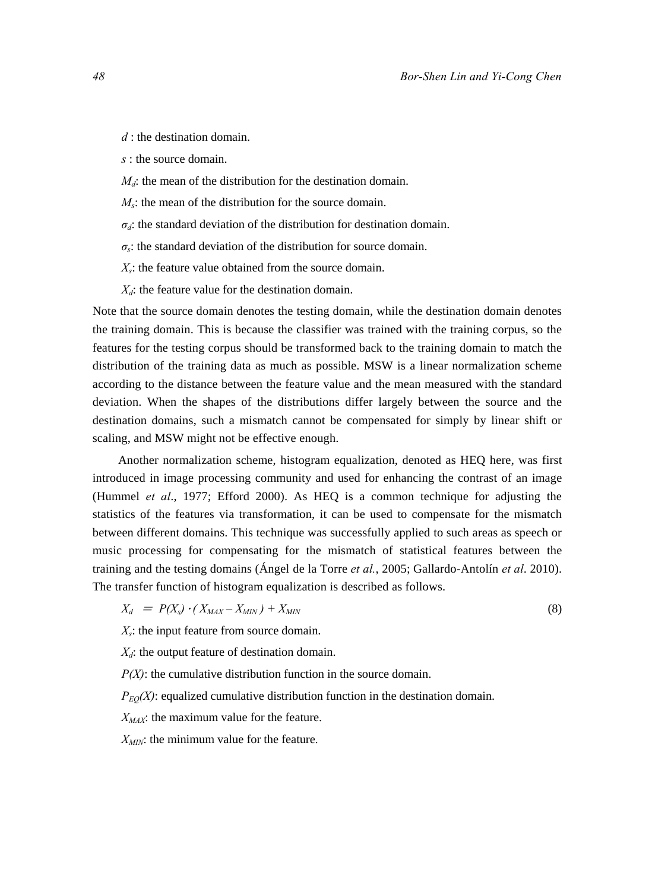*d* : the destination domain.

*s* : the source domain.

 $M_d$ : the mean of the distribution for the destination domain.

*Ms*: the mean of the distribution for the source domain.

 $\sigma_d$ : the standard deviation of the distribution for destination domain.

 $\sigma_s$ : the standard deviation of the distribution for source domain.

 $X_s$ : the feature value obtained from the source domain.

 $X_d$ : the feature value for the destination domain.

Note that the source domain denotes the testing domain, while the destination domain denotes the training domain. This is because the classifier was trained with the training corpus, so the features for the testing corpus should be transformed back to the training domain to match the distribution of the training data as much as possible. MSW is a linear normalization scheme according to the distance between the feature value and the mean measured with the standard deviation. When the shapes of the distributions differ largely between the source and the destination domains, such a mismatch cannot be compensated for simply by linear shift or scaling, and MSW might not be effective enough.

Another normalization scheme, histogram equalization, denoted as HEQ here, was first introduced in image processing community and used for enhancing the contrast of an image (Hummel *et al*., 1977; Efford 2000). As HEQ is a common technique for adjusting the statistics of the features via transformation, it can be used to compensate for the mismatch between different domains. This technique was successfully applied to such areas as speech or music processing for compensating for the mismatch of statistical features between the training and the testing domains (Ángel de la Torre *et al.*, 2005; Gallardo-Antolín *et al*. 2010). The transfer function of histogram equalization is described as follows.

$$
X_d = P(X_s) \cdot (X_{MAX} - X_{MIN}) + X_{MIN}
$$
\n
$$
(8)
$$

*Xs*: the input feature from source domain.

*X<sub>d</sub>*: the output feature of destination domain.

*P(X)*: the cumulative distribution function in the source domain.

 $P_{EO}(X)$ : equalized cumulative distribution function in the destination domain.

*XMAX*: the maximum value for the feature.

*X<sub>MIN</sub>*: the minimum value for the feature.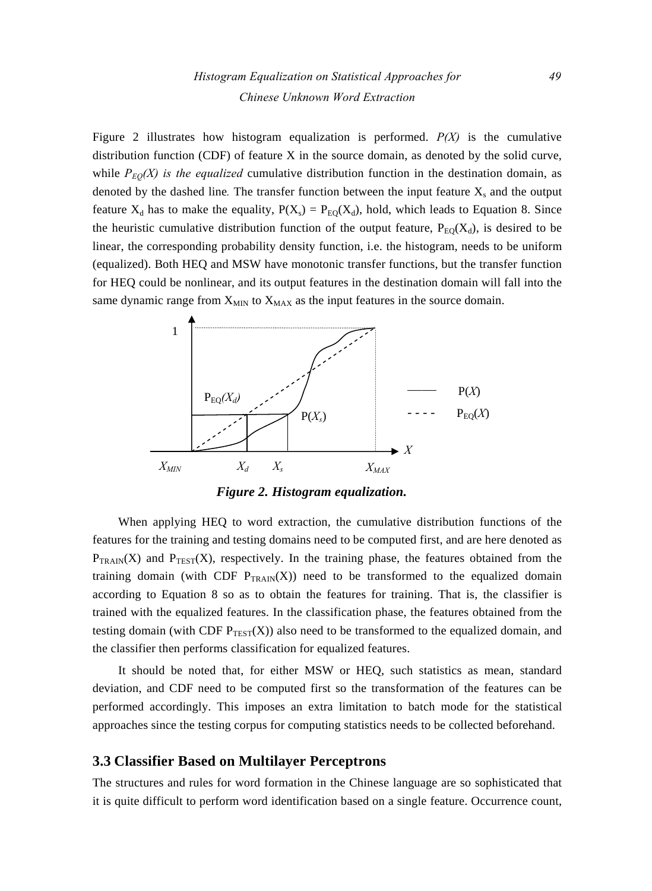Figure 2 illustrates how histogram equalization is performed.  $P(X)$  is the cumulative distribution function (CDF) of feature X in the source domain, as denoted by the solid curve, while  $P_{E0}(X)$  is the equalized cumulative distribution function in the destination domain, as denoted by the dashed line. The transfer function between the input feature  $X_s$  and the output feature  $X_d$  has to make the equality,  $P(X_s) = P_{EQ}(X_d)$ , hold, which leads to Equation 8. Since the heuristic cumulative distribution function of the output feature,  $P_{E0}(X_d)$ , is desired to be linear, the corresponding probability density function, i.e. the histogram, needs to be uniform (equalized). Both HEQ and MSW have monotonic transfer functions, but the transfer function for HEQ could be nonlinear, and its output features in the destination domain will fall into the same dynamic range from  $X_{MIN}$  to  $X_{MAX}$  as the input features in the source domain.



*Figure 2. Histogram equalization.* 

When applying HEQ to word extraction, the cumulative distribution functions of the features for the training and testing domains need to be computed first, and are here denoted as  $P_{TRAN}(X)$  and  $P_{TEST}(X)$ , respectively. In the training phase, the features obtained from the training domain (with CDF  $P_{TRAN}(X)$ ) need to be transformed to the equalized domain according to Equation 8 so as to obtain the features for training. That is, the classifier is trained with the equalized features. In the classification phase, the features obtained from the testing domain (with CDF  $P_{TEST}(X)$ ) also need to be transformed to the equalized domain, and the classifier then performs classification for equalized features.

It should be noted that, for either MSW or HEQ, such statistics as mean, standard deviation, and CDF need to be computed first so the transformation of the features can be performed accordingly. This imposes an extra limitation to batch mode for the statistical approaches since the testing corpus for computing statistics needs to be collected beforehand.

## **3.3 Classifier Based on Multilayer Perceptrons**

The structures and rules for word formation in the Chinese language are so sophisticated that it is quite difficult to perform word identification based on a single feature. Occurrence count,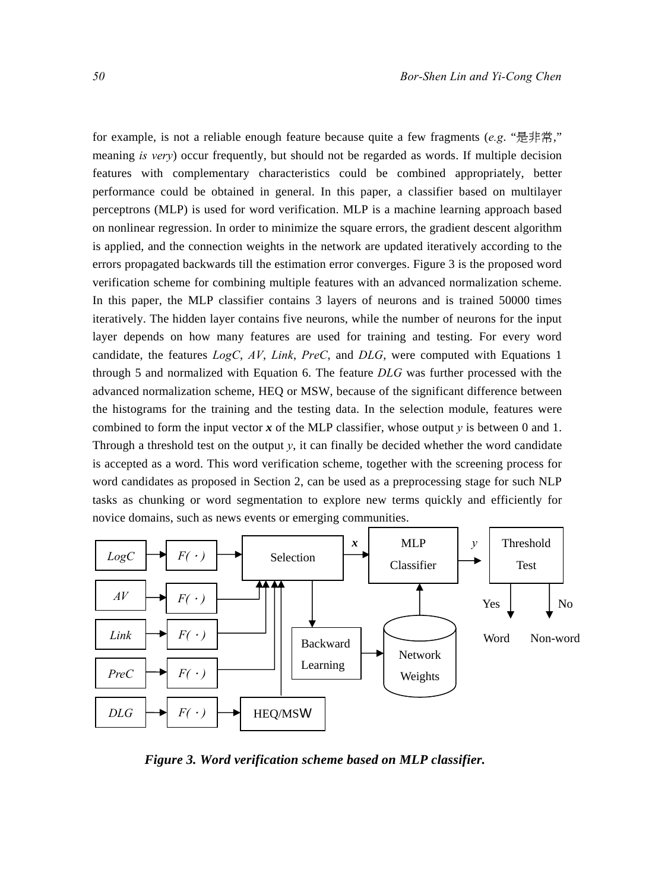for example, is not a reliable enough feature because quite a few fragments (*e.g*. "是非常," meaning *is very*) occur frequently, but should not be regarded as words. If multiple decision features with complementary characteristics could be combined appropriately, better performance could be obtained in general. In this paper, a classifier based on multilayer perceptrons (MLP) is used for word verification. MLP is a machine learning approach based on nonlinear regression. In order to minimize the square errors, the gradient descent algorithm is applied, and the connection weights in the network are updated iteratively according to the errors propagated backwards till the estimation error converges. Figure 3 is the proposed word verification scheme for combining multiple features with an advanced normalization scheme. In this paper, the MLP classifier contains 3 layers of neurons and is trained 50000 times iteratively. The hidden layer contains five neurons, while the number of neurons for the input layer depends on how many features are used for training and testing. For every word candidate, the features *LogC*, *AV*, *Link*, *PreC*, and *DLG*, were computed with Equations 1 through 5 and normalized with Equation 6. The feature *DLG* was further processed with the advanced normalization scheme, HEQ or MSW, because of the significant difference between the histograms for the training and the testing data. In the selection module, features were combined to form the input vector  $x$  of the MLP classifier, whose output  $y$  is between 0 and 1. Through a threshold test on the output *y*, it can finally be decided whether the word candidate is accepted as a word. This word verification scheme, together with the screening process for word candidates as proposed in Section 2, can be used as a preprocessing stage for such NLP tasks as chunking or word segmentation to explore new terms quickly and efficiently for novice domains, such as news events or emerging communities.



*Figure 3. Word verification scheme based on MLP classifier.*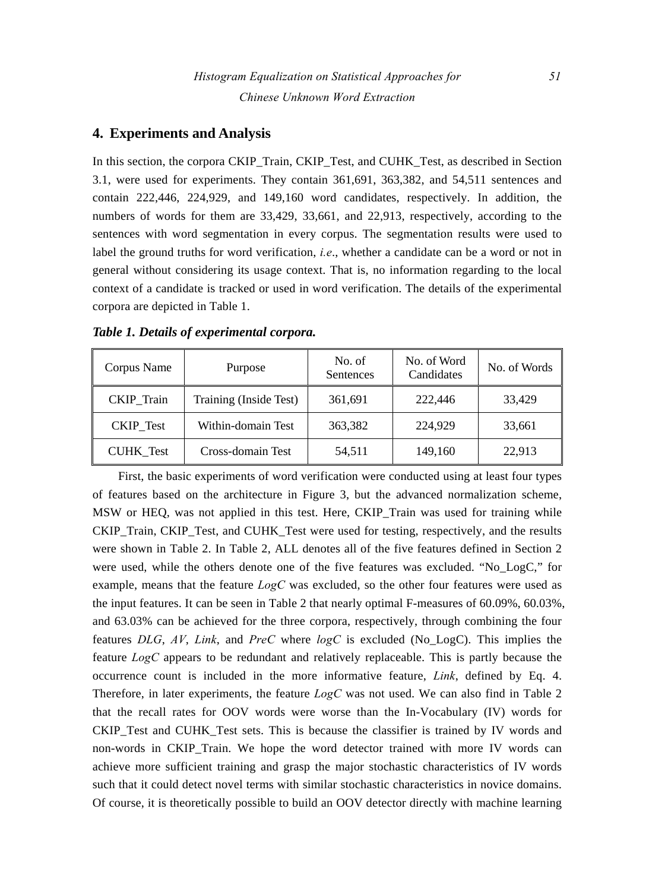## **4. Experiments and Analysis**

In this section, the corpora CKIP\_Train, CKIP\_Test, and CUHK\_Test, as described in Section 3.1, were used for experiments. They contain 361,691, 363,382, and 54,511 sentences and contain 222,446, 224,929, and 149,160 word candidates, respectively. In addition, the numbers of words for them are 33,429, 33,661, and 22,913, respectively, according to the sentences with word segmentation in every corpus. The segmentation results were used to label the ground truths for word verification, *i.e*., whether a candidate can be a word or not in general without considering its usage context. That is, no information regarding to the local context of a candidate is tracked or used in word verification. The details of the experimental corpora are depicted in Table 1.

| Corpus Name       | Purpose                | No. of<br>Sentences | No. of Word<br>Candidates | No. of Words |
|-------------------|------------------------|---------------------|---------------------------|--------------|
| <b>CKIP</b> Train | Training (Inside Test) | 361,691             | 222,446                   | 33,429       |
| <b>CKIP</b> Test  | Within-domain Test     | 363,382             | 224,929                   | 33,661       |
| <b>CUHK</b> Test  | Cross-domain Test      | 54,511              | 149,160                   | 22,913       |

*Table 1. Details of experimental corpora.* 

First, the basic experiments of word verification were conducted using at least four types of features based on the architecture in Figure 3, but the advanced normalization scheme, MSW or HEQ, was not applied in this test. Here, CKIP Train was used for training while CKIP\_Train, CKIP\_Test, and CUHK\_Test were used for testing, respectively, and the results were shown in Table 2. In Table 2, ALL denotes all of the five features defined in Section 2 were used, while the others denote one of the five features was excluded. "No\_LogC," for example, means that the feature *LogC* was excluded, so the other four features were used as the input features. It can be seen in Table 2 that nearly optimal F-measures of 60.09%, 60.03%, and 63.03% can be achieved for the three corpora, respectively, through combining the four features *DLG*, *AV*, *Link*, and *PreC* where *logC* is excluded (No\_LogC). This implies the feature *LogC* appears to be redundant and relatively replaceable. This is partly because the occurrence count is included in the more informative feature, *Link*, defined by Eq. 4. Therefore, in later experiments, the feature *LogC* was not used. We can also find in Table 2 that the recall rates for OOV words were worse than the In-Vocabulary (IV) words for CKIP\_Test and CUHK\_Test sets. This is because the classifier is trained by IV words and non-words in CKIP\_Train. We hope the word detector trained with more IV words can achieve more sufficient training and grasp the major stochastic characteristics of IV words such that it could detect novel terms with similar stochastic characteristics in novice domains. Of course, it is theoretically possible to build an OOV detector directly with machine learning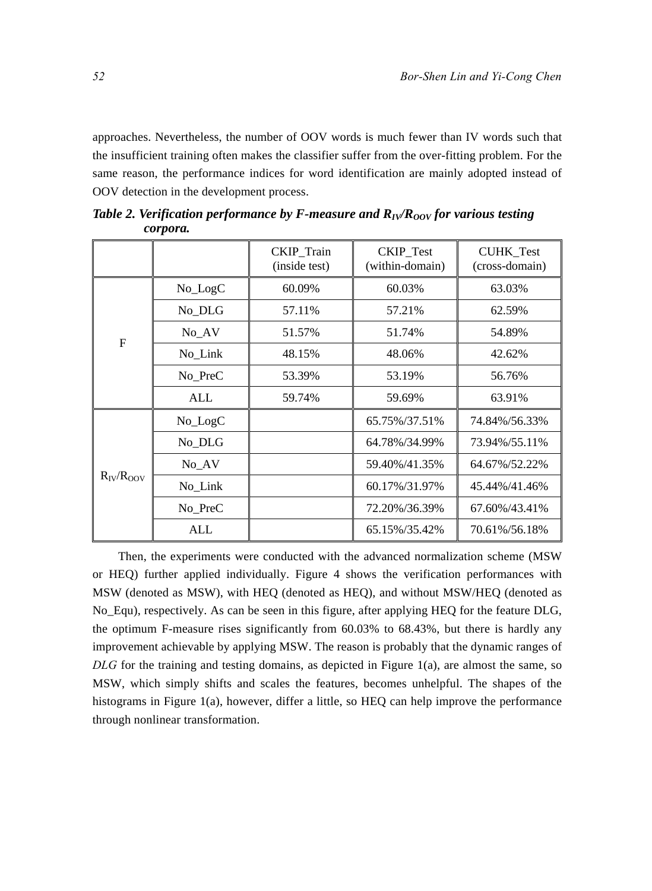approaches. Nevertheless, the number of OOV words is much fewer than IV words such that the insufficient training often makes the classifier suffer from the over-fitting problem. For the same reason, the performance indices for word identification are mainly adopted instead of OOV detection in the development process.

|                  |            | CKIP_Train<br>(inside test) | <b>CKIP</b> Test<br>(within-domain) | <b>CUHK</b> Test<br>(cross-domain) |  |
|------------------|------------|-----------------------------|-------------------------------------|------------------------------------|--|
|                  | No_LogC    | 60.09%                      | 60.03%                              | 63.03%                             |  |
|                  | No_DLG     | 57.11%                      | 57.21%                              | 62.59%                             |  |
|                  | $No_AV$    | 51.57%                      | 51.74%                              | 54.89%                             |  |
| $\overline{F}$   | No Link    | 48.15%                      | 48.06%                              | 42.62%                             |  |
|                  | No PreC    | 53.39%                      | 53.19%                              | 56.76%                             |  |
|                  | ALL        | 59.74%                      | 59.69%                              | 63.91%                             |  |
|                  | No_LogC    |                             | 65.75%/37.51%                       | 74.84%/56.33%                      |  |
|                  | No_DLG     |                             | 64.78%/34.99%                       | 73.94%/55.11%                      |  |
| $R_{IV}/R_{OOV}$ | $No_AV$    |                             | 59.40%/41.35%                       | 64.67%/52.22%                      |  |
|                  | No_Link    |                             | 60.17%/31.97%                       | 45.44%/41.46%                      |  |
|                  | No_PreC    |                             | 72.20%/36.39%                       | 67.60%/43.41%                      |  |
|                  | <b>ALL</b> |                             | 65.15%/35.42%                       | 70.61%/56.18%                      |  |

*Table 2. Verification performance by F-measure and*  $R_{IV}/R_{OOV}$  *for various testing corpora.* 

Then, the experiments were conducted with the advanced normalization scheme (MSW or HEQ) further applied individually. Figure 4 shows the verification performances with MSW (denoted as MSW), with HEQ (denoted as HEQ), and without MSW/HEQ (denoted as No\_Equ), respectively. As can be seen in this figure, after applying HEQ for the feature DLG, the optimum F-measure rises significantly from 60.03% to 68.43%, but there is hardly any improvement achievable by applying MSW. The reason is probably that the dynamic ranges of *DLG* for the training and testing domains, as depicted in Figure 1(a), are almost the same, so MSW, which simply shifts and scales the features, becomes unhelpful. The shapes of the histograms in Figure 1(a), however, differ a little, so HEQ can help improve the performance through nonlinear transformation.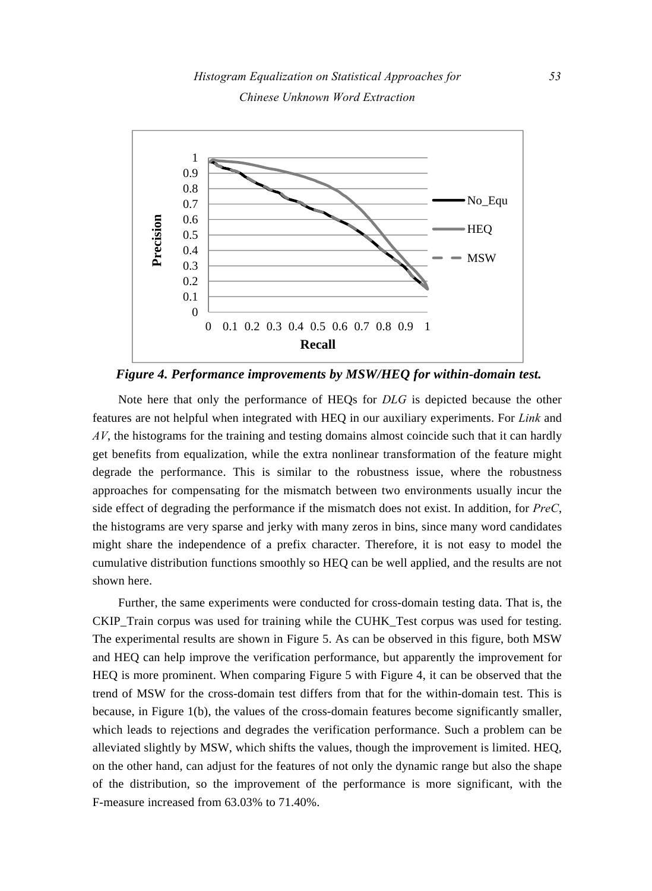

*Figure 4. Performance improvements by MSW/HEQ for within-domain test.* 

Note here that only the performance of HEQs for *DLG* is depicted because the other features are not helpful when integrated with HEQ in our auxiliary experiments. For *Link* and *AV*, the histograms for the training and testing domains almost coincide such that it can hardly get benefits from equalization, while the extra nonlinear transformation of the feature might degrade the performance. This is similar to the robustness issue, where the robustness approaches for compensating for the mismatch between two environments usually incur the side effect of degrading the performance if the mismatch does not exist. In addition, for *PreC*, the histograms are very sparse and jerky with many zeros in bins, since many word candidates might share the independence of a prefix character. Therefore, it is not easy to model the cumulative distribution functions smoothly so HEQ can be well applied, and the results are not shown here.

Further, the same experiments were conducted for cross-domain testing data. That is, the CKIP\_Train corpus was used for training while the CUHK\_Test corpus was used for testing. The experimental results are shown in Figure 5. As can be observed in this figure, both MSW and HEQ can help improve the verification performance, but apparently the improvement for HEQ is more prominent. When comparing Figure 5 with Figure 4, it can be observed that the trend of MSW for the cross-domain test differs from that for the within-domain test. This is because, in Figure 1(b), the values of the cross-domain features become significantly smaller, which leads to rejections and degrades the verification performance. Such a problem can be alleviated slightly by MSW, which shifts the values, though the improvement is limited. HEQ, on the other hand, can adjust for the features of not only the dynamic range but also the shape of the distribution, so the improvement of the performance is more significant, with the F-measure increased from 63.03% to 71.40%.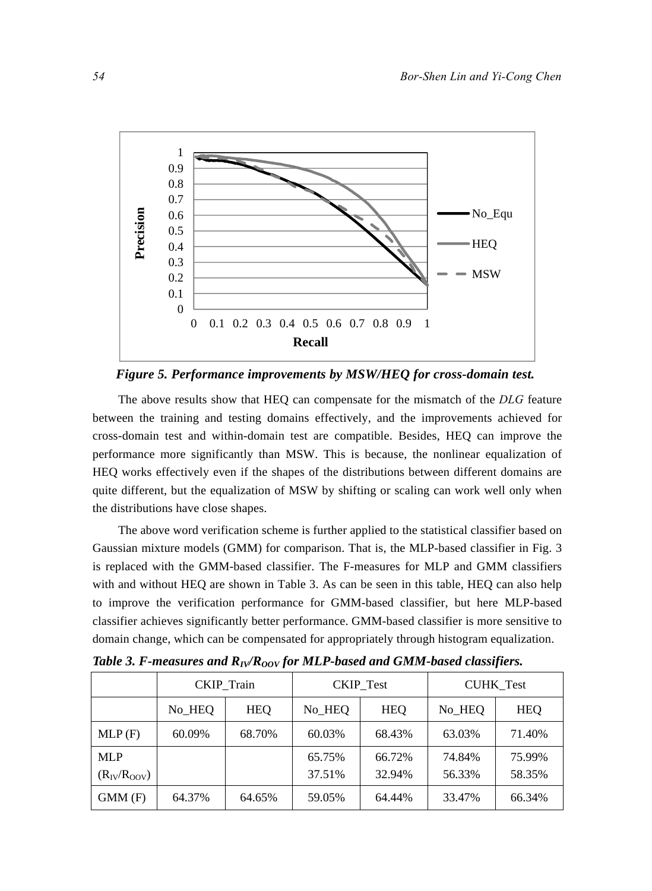

*Figure 5. Performance improvements by MSW/HEQ for cross-domain test.* 

The above results show that HEQ can compensate for the mismatch of the *DLG* feature between the training and testing domains effectively, and the improvements achieved for cross-domain test and within-domain test are compatible. Besides, HEQ can improve the performance more significantly than MSW. This is because, the nonlinear equalization of HEQ works effectively even if the shapes of the distributions between different domains are quite different, but the equalization of MSW by shifting or scaling can work well only when the distributions have close shapes.

The above word verification scheme is further applied to the statistical classifier based on Gaussian mixture models (GMM) for comparison. That is, the MLP-based classifier in Fig. 3 is replaced with the GMM-based classifier. The F-measures for MLP and GMM classifiers with and without HEQ are shown in Table 3. As can be seen in this table, HEQ can also help to improve the verification performance for GMM-based classifier, but here MLP-based classifier achieves significantly better performance. GMM-based classifier is more sensitive to domain change, which can be compensated for appropriately through histogram equalization.

|                    | <b>CKIP</b> Train |        |        | <b>CKIP_Test</b> | <b>CUHK_Test</b> |            |  |
|--------------------|-------------------|--------|--------|------------------|------------------|------------|--|
|                    | No_HEQ            | HEO    | No HEQ | <b>HEQ</b>       | No HEO           | <b>HEQ</b> |  |
| MLP(F)             | 60.09%            | 68.70% | 60.03% | 68.43%           | 63.03%           | 71.40%     |  |
| <b>MLP</b>         |                   |        | 65.75% | 66.72%           | 74.84%           | 75.99%     |  |
| $(R_{IV}/R_{OOV})$ |                   |        | 37.51% | 32.94%           | 56.33%           | 58.35%     |  |
| GMM(F)             | 64.37%            | 64.65% | 59.05% | 64.44%           | 33.47%           | 66.34%     |  |

*Table 3. F-measures and*  $R_V/R_{OOV}$  *for MLP-based and GMM-based classifiers.*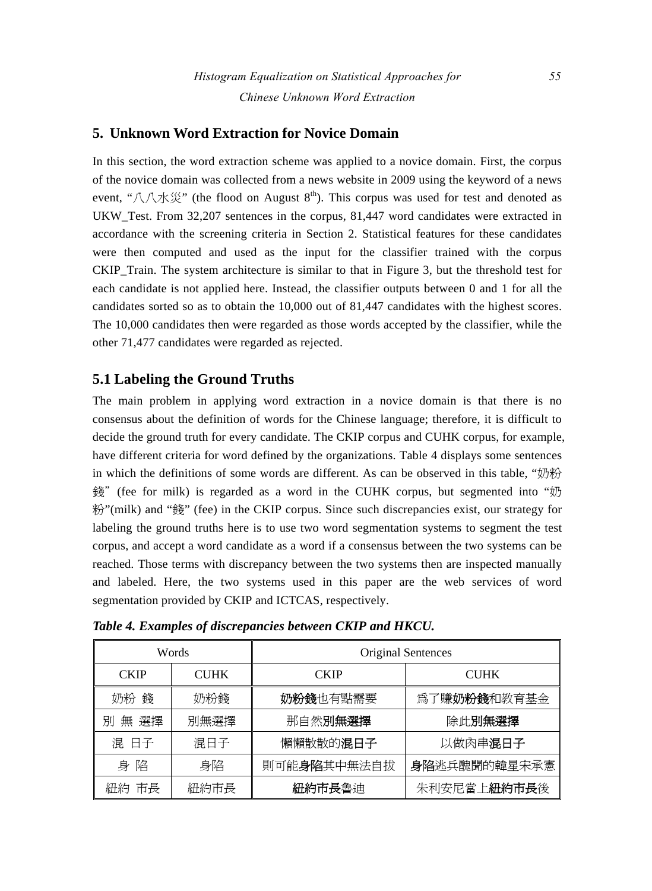## **5. Unknown Word Extraction for Novice Domain**

In this section, the word extraction scheme was applied to a novice domain. First, the corpus of the novice domain was collected from a news website in 2009 using the keyword of a news event, "八八水災" (the flood on August  $8<sup>th</sup>$ ). This corpus was used for test and denoted as UKW Test. From 32,207 sentences in the corpus, 81,447 word candidates were extracted in accordance with the screening criteria in Section 2. Statistical features for these candidates were then computed and used as the input for the classifier trained with the corpus CKIP\_Train. The system architecture is similar to that in Figure 3, but the threshold test for each candidate is not applied here. Instead, the classifier outputs between 0 and 1 for all the candidates sorted so as to obtain the 10,000 out of 81,447 candidates with the highest scores. The 10,000 candidates then were regarded as those words accepted by the classifier, while the other 71,477 candidates were regarded as rejected.

## **5.1 Labeling the Ground Truths**

The main problem in applying word extraction in a novice domain is that there is no consensus about the definition of words for the Chinese language; therefore, it is difficult to decide the ground truth for every candidate. The CKIP corpus and CUHK corpus, for example, have different criteria for word defined by the organizations. Table 4 displays some sentences in which the definitions of some words are different. As can be observed in this table, "奶粉 錢"(fee for milk) is regarded as a word in the CUHK corpus, but segmented into "奶 粉"(milk) and "錢" (fee) in the CKIP corpus. Since such discrepancies exist, our strategy for labeling the ground truths here is to use two word segmentation systems to segment the test corpus, and accept a word candidate as a word if a consensus between the two systems can be reached. Those terms with discrepancy between the two systems then are inspected manually and labeled. Here, the two systems used in this paper are the web services of word segmentation provided by CKIP and ICTCAS, respectively.

| Words       |             | Original Sentences |                      |  |  |
|-------------|-------------|--------------------|----------------------|--|--|
| <b>CKIP</b> | <b>CUHK</b> | <b>CKIP</b>        | <b>CUHK</b>          |  |  |
| 奶粉 錢        | 奶粉錢         | 奶粉錢也有點需要           | 為了賺 <b>奶粉錢</b> 和教育基金 |  |  |
| 無 選擇<br>別   | 別無選擇        | 那自然別無選擇            | 除此別無選擇               |  |  |
| 混 日子        | 混日子         | 懶懶散散的混日子           | 以做肉串混日子              |  |  |
| 身陷          | 身陷          | 則可能身陷其中無法自拔        | 身陷逃兵醜聞的韓星宋承憲         |  |  |
| 紐約 市長       | 紐約市長        | 紐約市長魯迪             | 朱利安尼當上紐約市長後          |  |  |

*Table 4. Examples of discrepancies between CKIP and HKCU.*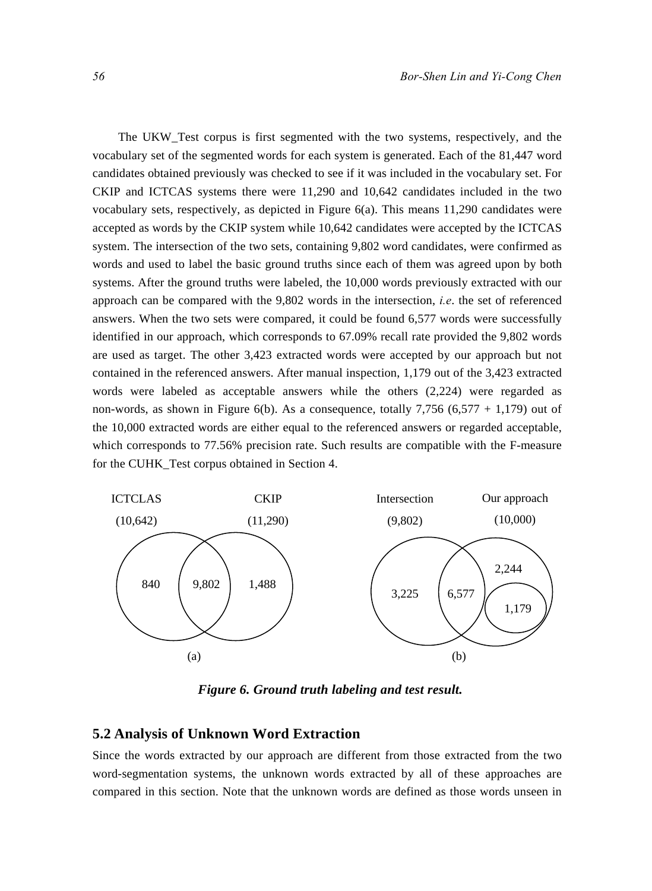The UKW\_Test corpus is first segmented with the two systems, respectively, and the vocabulary set of the segmented words for each system is generated. Each of the 81,447 word candidates obtained previously was checked to see if it was included in the vocabulary set. For CKIP and ICTCAS systems there were 11,290 and 10,642 candidates included in the two vocabulary sets, respectively, as depicted in Figure  $6(a)$ . This means 11,290 candidates were accepted as words by the CKIP system while 10,642 candidates were accepted by the ICTCAS system. The intersection of the two sets, containing 9,802 word candidates, were confirmed as words and used to label the basic ground truths since each of them was agreed upon by both systems. After the ground truths were labeled, the 10,000 words previously extracted with our approach can be compared with the 9,802 words in the intersection, *i.e*. the set of referenced answers. When the two sets were compared, it could be found 6,577 words were successfully identified in our approach, which corresponds to 67.09% recall rate provided the 9,802 words are used as target. The other 3,423 extracted words were accepted by our approach but not contained in the referenced answers. After manual inspection, 1,179 out of the 3,423 extracted words were labeled as acceptable answers while the others (2,224) were regarded as non-words, as shown in Figure 6(b). As a consequence, totally 7,756  $(6,577 + 1,179)$  out of the 10,000 extracted words are either equal to the referenced answers or regarded acceptable, which corresponds to 77.56% precision rate. Such results are compatible with the F-measure for the CUHK\_Test corpus obtained in Section 4.



*Figure 6. Ground truth labeling and test result.* 

## **5.2 Analysis of Unknown Word Extraction**

Since the words extracted by our approach are different from those extracted from the two word-segmentation systems, the unknown words extracted by all of these approaches are compared in this section. Note that the unknown words are defined as those words unseen in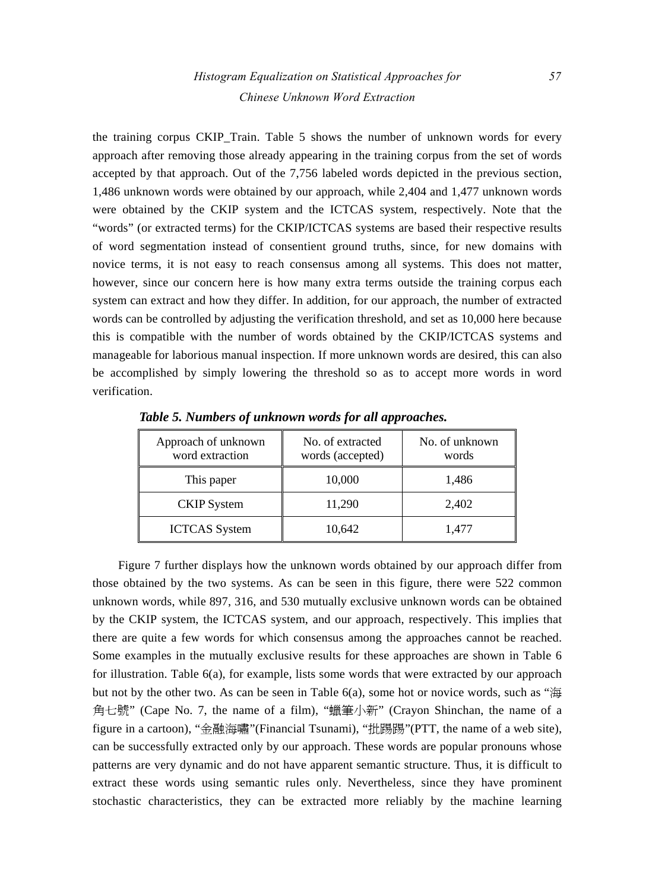# *Histogram Equalization on Statistical Approaches for 57 Chinese Unknown Word Extraction*

the training corpus CKIP\_Train. Table 5 shows the number of unknown words for every approach after removing those already appearing in the training corpus from the set of words accepted by that approach. Out of the 7,756 labeled words depicted in the previous section, 1,486 unknown words were obtained by our approach, while 2,404 and 1,477 unknown words were obtained by the CKIP system and the ICTCAS system, respectively. Note that the "words" (or extracted terms) for the CKIP/ICTCAS systems are based their respective results of word segmentation instead of consentient ground truths, since, for new domains with novice terms, it is not easy to reach consensus among all systems. This does not matter, however, since our concern here is how many extra terms outside the training corpus each system can extract and how they differ. In addition, for our approach, the number of extracted words can be controlled by adjusting the verification threshold, and set as 10,000 here because this is compatible with the number of words obtained by the CKIP/ICTCAS systems and manageable for laborious manual inspection. If more unknown words are desired, this can also be accomplished by simply lowering the threshold so as to accept more words in word verification.

| Approach of unknown<br>word extraction | No. of extracted<br>words (accepted) | No. of unknown<br>words |  |  |
|----------------------------------------|--------------------------------------|-------------------------|--|--|
| This paper                             | 10,000                               | 1,486                   |  |  |
| <b>CKIP</b> System                     | 11,290                               | 2,402                   |  |  |
| <b>ICTCAS</b> System                   | 10,642                               | 1,477                   |  |  |

*Table 5. Numbers of unknown words for all approaches.* 

Figure 7 further displays how the unknown words obtained by our approach differ from those obtained by the two systems. As can be seen in this figure, there were 522 common unknown words, while 897, 316, and 530 mutually exclusive unknown words can be obtained by the CKIP system, the ICTCAS system, and our approach, respectively. This implies that there are quite a few words for which consensus among the approaches cannot be reached. Some examples in the mutually exclusive results for these approaches are shown in Table 6 for illustration. Table 6(a), for example, lists some words that were extracted by our approach but not by the other two. As can be seen in Table 6(a), some hot or novice words, such as "海 角七號" (Cape No. 7, the name of a film), "蠟筆小新" (Crayon Shinchan, the name of a figure in a cartoon), "金融海嘯"(Financial Tsunami), "批踢踢"(PTT, the name of a web site), can be successfully extracted only by our approach. These words are popular pronouns whose patterns are very dynamic and do not have apparent semantic structure. Thus, it is difficult to extract these words using semantic rules only. Nevertheless, since they have prominent stochastic characteristics, they can be extracted more reliably by the machine learning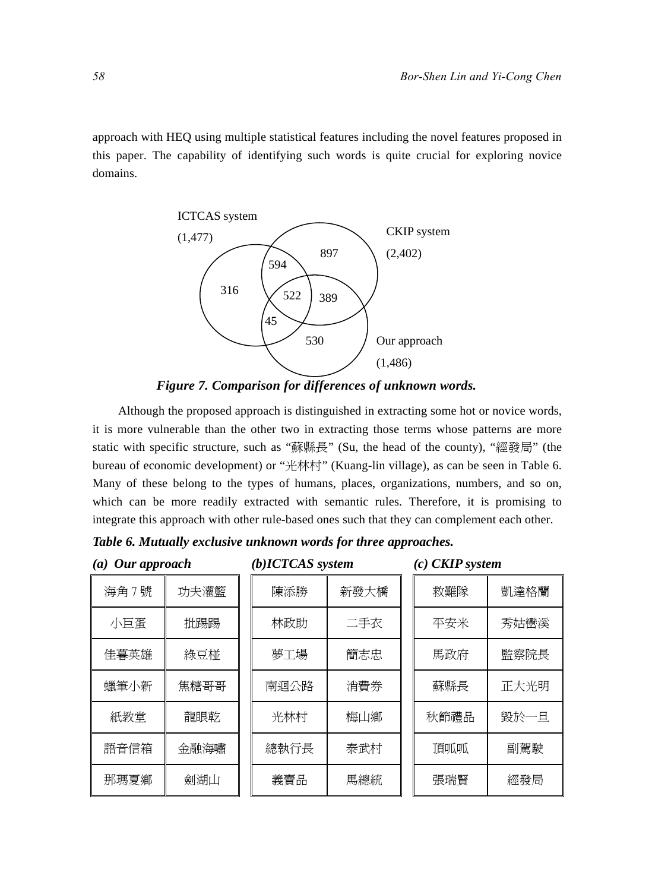approach with HEQ using multiple statistical features including the novel features proposed in this paper. The capability of identifying such words is quite crucial for exploring novice domains.





Although the proposed approach is distinguished in extracting some hot or novice words, it is more vulnerable than the other two in extracting those terms whose patterns are more static with specific structure, such as "蘇縣長" (Su, the head of the county), "經發局" (the bureau of economic development) or "光林村" (Kuang-lin village), as can be seen in Table 6. Many of these belong to the types of humans, places, organizations, numbers, and so on, which can be more readily extracted with semantic rules. Therefore, it is promising to integrate this approach with other rule-based ones such that they can complement each other.

|  |  |  |  |  |  |  | Table 6. Mutually exclusive unknown words for three approaches. |
|--|--|--|--|--|--|--|-----------------------------------------------------------------|
|--|--|--|--|--|--|--|-----------------------------------------------------------------|

| $(a)$ Our approach |      | $(b)$ ICTCAS system |      |  | $(c)$ CKIP system |      |  |
|--------------------|------|---------------------|------|--|-------------------|------|--|
| 海角7號               | 功夫灌籃 | 陳添勝                 | 新發大橋 |  | 救難隊               | 凱達格蘭 |  |
| 小巨蛋                | 批踢踢  | 林政助                 | 二手衣  |  | 平安米               | 秀姑巒溪 |  |
| 佳暮英雄               | 綠豆椪  | 夢工場                 | 簡志忠  |  | 馬政府               | 監察院長 |  |
| 蠟筆小新               | 焦糖哥哥 | 南迴公路                | 消費券  |  | 蘇縣長               | 正大光明 |  |
| 紙教堂                | 龍眼乾  | 光林村                 | 梅山鄉  |  | 秋節禮品              | 毀於一日 |  |
| 語音信箱               | 金融海嘯 | 總執行長                | 泰武村  |  | 頂呱呱               | 副駕駛  |  |
| 那瑪夏鄉               | 劍湖山  | 義賣品                 | 馬總統  |  | 張瑞賢               | 經發局  |  |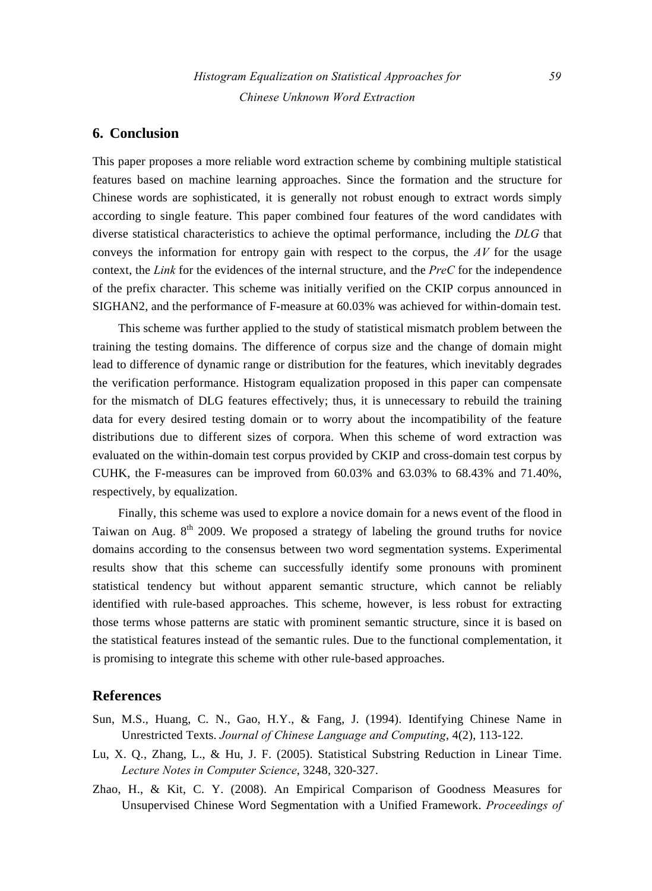## **6. Conclusion**

This paper proposes a more reliable word extraction scheme by combining multiple statistical features based on machine learning approaches. Since the formation and the structure for Chinese words are sophisticated, it is generally not robust enough to extract words simply according to single feature. This paper combined four features of the word candidates with diverse statistical characteristics to achieve the optimal performance, including the *DLG* that conveys the information for entropy gain with respect to the corpus, the *AV* for the usage context, the *Link* for the evidences of the internal structure, and the *PreC* for the independence of the prefix character. This scheme was initially verified on the CKIP corpus announced in SIGHAN2, and the performance of F-measure at 60.03% was achieved for within-domain test.

This scheme was further applied to the study of statistical mismatch problem between the training the testing domains. The difference of corpus size and the change of domain might lead to difference of dynamic range or distribution for the features, which inevitably degrades the verification performance. Histogram equalization proposed in this paper can compensate for the mismatch of DLG features effectively; thus, it is unnecessary to rebuild the training data for every desired testing domain or to worry about the incompatibility of the feature distributions due to different sizes of corpora. When this scheme of word extraction was evaluated on the within-domain test corpus provided by CKIP and cross-domain test corpus by CUHK, the F-measures can be improved from 60.03% and 63.03% to 68.43% and 71.40%, respectively, by equalization.

Finally, this scheme was used to explore a novice domain for a news event of the flood in Taiwan on Aug.  $8<sup>th</sup>$  2009. We proposed a strategy of labeling the ground truths for novice domains according to the consensus between two word segmentation systems. Experimental results show that this scheme can successfully identify some pronouns with prominent statistical tendency but without apparent semantic structure, which cannot be reliably identified with rule-based approaches. This scheme, however, is less robust for extracting those terms whose patterns are static with prominent semantic structure, since it is based on the statistical features instead of the semantic rules. Due to the functional complementation, it is promising to integrate this scheme with other rule-based approaches.

## **References**

- Sun, M.S., Huang, C. N., Gao, H.Y., & Fang, J. (1994). Identifying Chinese Name in Unrestricted Texts. *Journal of Chinese Language and Computing*, 4(2), 113-122.
- Lu, X. Q., Zhang, L., & Hu, J. F. (2005). Statistical Substring Reduction in Linear Time. *Lecture Notes in Computer Science*, 3248, 320-327.
- Zhao, H., & Kit, C. Y. (2008). An Empirical Comparison of Goodness Measures for Unsupervised Chinese Word Segmentation with a Unified Framework. *Proceedings of*